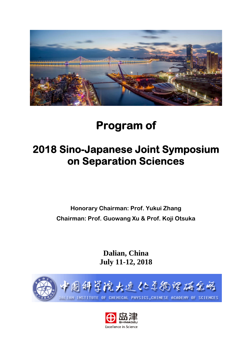

# **Program of**

# **2018 Sino-Japanese Joint Symposium on Separation Sciences**

**Honorary Chairman: Prof. Yukui Zhang Chairman: Prof. Guowang Xu & Prof. Koji Otsuka** 

> **Dalian, China July 11-12, 2018**



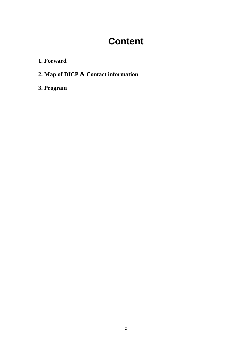# **Content**

**1. Forward**

**2. Map of DICP & Contact information**

**3. Program**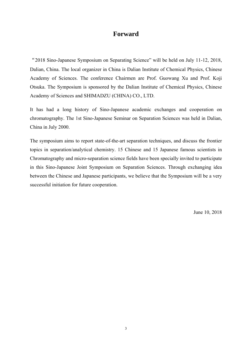## **Forward**

"2018 Sino-Japanese Symposium on Separating Science" will be held on July 11-12, 2018, Dalian, China. The local organizer in China is Dalian Institute of Chemical Physics, Chinese Academy of Sciences. The conference Chairmen are Prof. Guowang Xu and Prof. Koji Otsuka. The Symposium is sponsored by the Dalian Institute of Chemical Physics, Chinese Academy of Sciences and SHIMADZU (CHINA) CO., LTD.

It has had a long history of Sino-Japanese academic exchanges and cooperation on chromatography. The 1st Sino-Japanese Seminar on Separation Sciences was held in Dalian, China in July 2000.

The symposium aims to report state-of-the-art separation techniques, and discuss the frontier topics in separation/analytical chemistry. 15 Chinese and 15 Japanese famous scientists in Chromatography and micro-separation science fields have been specially invited to participate in this Sino-Japanese Joint Symposium on Separation Sciences. Through exchanging idea between the Chinese and Japanese participants, we believe that the Symposium will be a very successful initiation for future cooperation.

June 10, 2018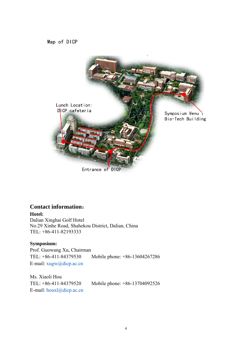Map of DICP



**Contact information**:

#### **Hotel:**

Dalian Xinghai Golf Hotel No.29 Xinhe Road, Shahekou District, Dalian, China TEL: +86-411-82193333

#### **Symposium:**

Prof. Guowang Xu, Chairman TEL: +86-411-84379530 Mobile phone: +86-13604267286 E-mail: xugw@dicp.ac.cn

Ms. Xiaoli Hou TEL: +86-411-84379520 Mobile phone: +86-13704092526 E-mail: houxl@dicp.ac.cn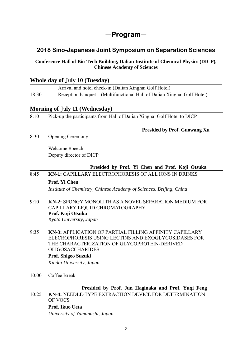# -**Program**-

# **2018 Sino-Japanese Joint Symposium on Separation Sciences**

#### **Conference Hall of Bio-Tech Building, Dalian Institute of Chemical Physics (DICP), Chinese Academy of Sciences**

#### **Whole day of** Ju**ly 10 (Tuesday)**

 Arrival and hotel check-in (Dalian Xinghai Golf Hotel) 18:30 Reception banquet (Multifunctional Hall of Dalian Xinghai Golf Hotel)

## **Morning of** Ju**ly 11 (Wednesday)**

8:10 Pick-up the participants from Hall of Dalian Xinghai Golf Hotel to DICP

#### **Presided by Prof. Guowang Xu**

8:30 Opening Ceremony

Welcome Speech Deputy director of DICP

#### **Presided by Prof. Yi Chen and Prof. Koji Otsuka**

8:45 **KN-1:** CAPILLARY ELECTROPHORESIS OF ALL IONS IN DRINKS

#### **Prof. Yi Chen**

*Institute of Chemistry, Chinese Academy of Sciences, Beijing, China* 

- 9:10 **KN-2:** SPONGY MONOLITH AS A NOVEL SEPARATION MEDIUM FOR CAPILLARY LIQUID CHROMATOGRAPHY **Prof. Koji Otsuka** *Kyoto University, Japan*
- 9:35 **KN-3:** APPLICATION OF PARTIAL FILLING AFFINITY CAPILLARY ELECROPHORESIS USING LECTINS AND EXOGLYCOSIDASES FOR THE CHARACTERIZATION OF GLYCOPROTEIN-DERIVED OLIGOSACCHARIDES  **Prof. Shigeo Suzuki**  *Kindai University, Japan*
- 10:00 Coffee Break

#### **Presided by Prof. Jun Haginaka and Prof. Yuqi Feng**

10:25 **KN-4:** NEEDLE-TYPE EXTRACTION DEVICE FOR DETERMINATION OF VOCS  **Prof. Ikuo Ueta** 

*University of Yamanashi, Japan*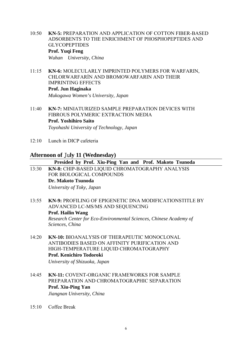- 10:50 **KN-5:** PREPARATION AND APPLICATION OF COTTON FIBER-BASED ADSORBENTS TO THE ENRICHMENT OF PHOSPHOPEPTIDES AND GLYCOPEPTIDES  **Prof. Yuqi Feng**  *Wuhan University, China*
- 11:15 **KN-6:** MOLECULARLY IMPRINTED POLYMERS FOR WARFARIN, CHLORWARFARİN AND BROMOWARFARIN AND THEIR IMPRINTING EFFECTS **Prof. Jun Haginaka**

 *Mukogawa Women's University, Japan*

- 11:40 **KN-7:** MINIATURIZED SAMPLE PREPARATION DEVICES WITH FIBROUS POLYMERIC EXTRACTION MEDIA **Prof. Yoshihiro Saito** *Toyohashi University of Technology, Japan*
- 12:10 Lunch in DICP cafeteria

#### **Afternoon of** Ju**ly 11 (Wednesday)**

**Presided by Prof. Xiu-Ping Yan and Prof. Makoto Tsunoda** 

- 13:30 **KN-8:** CHIP-BASED LIQUID CHROMATOGRAPHY ANALYSIS FOR BIOLOGICAL COMPOUNDS **Dr. Makoto Tsunoda** *University of Toky, Japan*
- 13:55 **KN-9:** PROFILING OF EPIGENETIC DNA MODIFICATIONSTITLE BY ADVANCED LC-MS/MS AND SEQUENCING **Prof. Hailin Wang**  *Research Center for Eco-Environmental Sciences, Chinese Academy of Sciences, China*
- 14:20 **KN-10:** BIOANALYSIS OF THERAPEUTIC MONOCLONAL ANTIBODIES BASED ON AFFINITY PURIFICATION AND HIGH-TEMPERATURE LIQUID CHROMATOGRAPHY **Prof. Kenichiro Todoroki**

*University of Shizuoka, Japan*

14:45 **KN-11:** COVENT-ORGANIC FRAMEWORKS FOR SAMPLE PREPARATION AND CHROMATOGRAPHIC SEPARATION **Prof. Xiu-Ping Yan** 

*Jiangnan University, China*

15:10 Coffee Break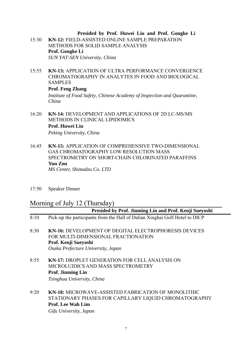#### **Presided by Prof. Huwei Liu and Prof. Gongke Li**

- 15:30 **KN-12:** FIELD-ASSISTED ONLINE SAMPLE PREPARATION METHODS FOR SOLID SAMPLE ANALYSIS **Prof. Gongke Li** *SUN YAT-SEN University, China*
- 15:55 **KN-13:** APPLICATION OF ULTRA PERFORMANCE CONVERGENCE CHROMATOGRAPHY IN ANALYTES IN FOOD AND BIOLOGICAL SAMPLES

#### **Prof. Feng Zhang**

*Institute of Food Safety, Chinese Academy of Inspection and Quarantine, China*

- 16:20 **KN-14:** DEVELOPMENT AND APPLICATIONS OF 2D LC-MS/MS METHODS IN CLINICAL LIPIDOMICS  **Prof. Huwei Liu**  *Peking University, China*
- 16:45 **KN-15:** APPLICATION OF COMPREHENSIVE TWO-DIMENSIONAL GAS CHROMATOGRAPHY LOW RESOLUTION MASS SPECTROMETRY ON SHORT-CHAIN CHLORINATED PARAFFINS **Yun Zou**  *MS Center, Shimadzu Co. LTD*
- 17:50 Speaker Dinner

## Morning of July 12 (Thursday)

|      | Presided by Prof. Jinming Lin and Prof. Kenji Sueyoshi                                                                                                            |
|------|-------------------------------------------------------------------------------------------------------------------------------------------------------------------|
| 8:10 | Pick-up the participants from the Hall of Dalian Xinghai Golf Hotel to DICP                                                                                       |
| 8:30 | <b>KN-16: DEVELOPMENT OF DEGITAL ELECTROPHORESIS DEVICES</b><br>FOR MULTI-DIMENSIONAL FRACTIONATION<br>Prof. Kenji Sueyoshi<br>Osaka Prefecture University, Japan |
| 8:55 | <b>KN-17: DROPLET GENERATION FOR CELL ANALYSIS ON</b><br>MICROLUIDICS AND MASS SPECTROMETRY<br><b>Prof. Jinming Lin</b><br>Tsinghua University, China             |
|      |                                                                                                                                                                   |

9:20 **KN-18:** MICROWAVE-ASSISTED FABRICATION OF MONOLITHIC STATIONARY PHASES FOR CAPILLARY LIQUID CHROMATOGRAPHY **Prof. Lee Wah Lim** 

*Gifu University, Japan*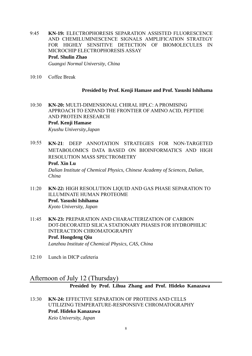- 9:45 **KN-19:** ELECTROPHORESIS SEPARATION ASSISTED FLUORESCENCE AND CHEMILUMINESCENCE SIGNALS AMPLIFICATION STRATEGY FOR HIGHLY SENSITIVE DETECTION OF BIOMOLECULES IN MICROCHIP ELECTROPHORESIS ASSAY **Prof. Shulin Zhao** *Guangxi Normal University, China*
- 10:10 Coffee Break

#### **Presided by Prof. Kenji Hamase and Prof. Yasushi Ishihama**

- 10:30 **KN-20:** MULTI-DIMENSIONAL CHIRAL HPLC: A PROMISING APPROACH TO EXPAND THE FRONTIER OF AMINO ACID, PEPTIDE AND PROTEIN RESEARCH **Prof. Kenji Hamase**  *Kyushu University,Japan*
- 10:55 **KN-21**: DEEP ANNOTATION STRATEGIES FOR NON-TARGETED METABOLOMICS DATA BASED ON BIOINFORMATICS AND HIGH RESOLUTION MASS SPECTROMETRY **Prof. Xin Lu** *Dalian Institute of Chemical Physics, Chinese Academy of Sciences, Dalian, China*
- 11:20 **KN-22:** HIGH RESOLUTION LIQUID AND GAS PHASE SEPARATION TO ILLUMINATE HUMAN PROTEOME **Prof. Yasushi Ishihama**  *Kyoto University, Japan*
- 11:45 **KN-23:** PREPARATION AND CHARACTERIZATION OF CARBON DOT-DECORATED SILICA STATIONARY PHASES FOR HYDROPHILIC INTERACTION CHROMATOGRAPHY **Prof. Hongdeng Qiu** *Lanzhou Institute of Chemical Physics, CAS, China*
- 12:10 Lunch in DICP cafeteria

# Afternoon of July 12 (Thursday)

#### **Presided by Prof. Lihua Zhang and Prof. Hideko Kanazawa**

13:30 **KN-24:** EFFECTIVE SEPARATION OF PROTEINS AND CELLS UTILIZING TEMPERATURE-RESPONSIVE CHROMATOGRAPHY **Prof. Hideko Kanazawa**

*Keio University, Japan*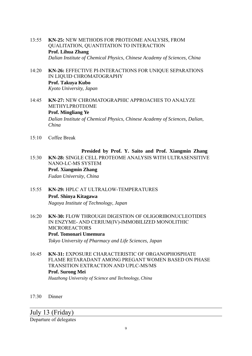- 13:55 **KN-25:** NEW METHODS FOR PROTEOME ANALYSIS, FROM QUALITATION, QUANTITATION TO INTERACTION **Prof. Lihua Zhang**  *Dalian Institute of Chemical Physics, Chinese Academy of Sciences, China*
- 14:20 **KN-26:** EFFECTIVE PI-INTERACTIONS FOR UNIQUE SEPARATIONS IN LIQUID CHROMATOGRAPHY **Prof. Takuya Kubo** *Kyoto University, Japan*
- 14:45 **KN-27:** NEW CHROMATOGRAPHIC APPROACHES TO ANALYZE METHYLPROTEOME **Prof. Mingliang Ye**  *Dalian Institute of Chemical Physics, Chinese Academy of Sciences, Dalian, China*
- 15:10 Coffee Break

### **Presided by Prof. Y. Saito and Prof. Xiangmin Zhang**

15:30 **KN-28:** SINGLE CELL PROTEOME ANALYSIS WITH ULTRASENSITIVE NANO-LC-MS SYSTEM

**Prof. Xiangmin Zhang**

*Fudan University, China*

#### 15:55 **KN-29:** HPLC AT ULTRALOW-TEMPERATURES **Prof. Shinya Kitagawa** *Nagoya Institute of Technology, Japan*

- 16:20 **KN-30:** FLOW THROUGH DIGESTION OF OLIGORIBONUCLEOTIDES IN ENZYME- AND CERIUM(IV)-IMMOBILIZED MONOLITHIC MICROREACTORS  **Prof. Tomonari Umemura**  *Tokyo University of Pharmacy and Life Sciences, Japan*
- 16:45 **KN-31:** EXPOSURE CHARACTERISTIC OF ORGANOPHOSPHATE FLAME RETARADANT AMONG PREGANT WOMEN BASED ON PHASE TRANSITION EXTRACTION AND UPLC-MS/MS **Prof. Surong Mei**  *Huazhong University of Science and Technology, China*
- 17:30 Dinner

July 13 (Friday)

Departure of delegates